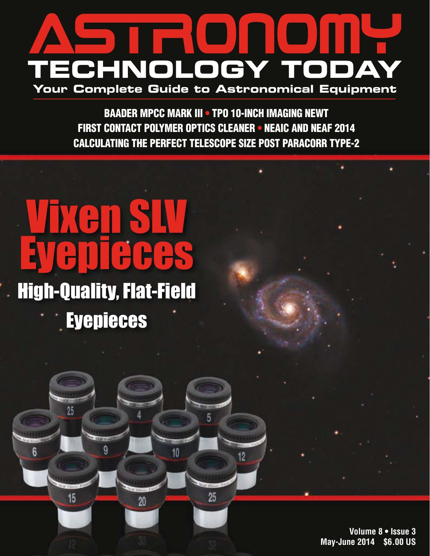### ASTRONOMY **TECHNOLOGY TODAY Your Complete Guide to Astronomical Equipment**

BAADER MPCC MARK III • TPO 10-INCH IMAGING NEWT FIRST CONTACT POLYMER OPTICS CLEANER • NEAIC AND NEAF 2014 CALCULATING THE PERFECT TELESCOPE SIZE POST PARACORR TYPE-2

5

25

10

20

## Vixen SLV Eyepieces High-Quality, Flat-Field

**Eyepieces** 

Q

 $25$ 

15

 $6$ 

**Volume 8 • Issue 3 May-June 2014 \$6.00 US**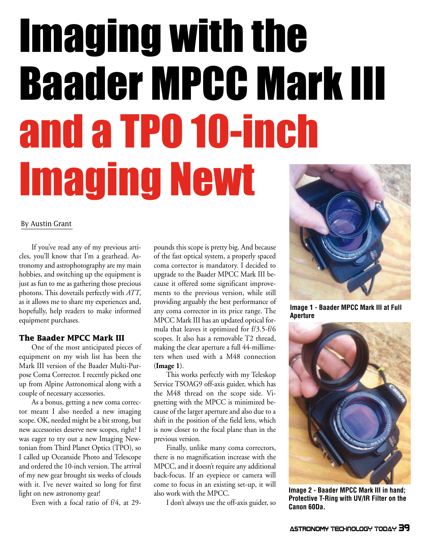# Imaging with the Baader MPCC Mark III and a TPO 10-inch Imaging Newt

#### By Austin Grant

If you've read any of my previous articles, you'll know that I'm a gearhead. Astronomy and astrophotography are my main hobbies, and switching up the equipment is just as fun to me as gathering those precious photons. This dovetails perfectly with *ATT*, as it allows me to share my experiences and, hopefully, help readers to make informed equipment purchases.

#### **The Baader MPCC Mark III**

One of the most anticipated pieces of equipment on my wish list has been the Mark III version of the Baader Multi-Purpose Coma Corrector. I recently picked one up from Alpine Astronomical along with a couple of necessary accessories.

As a bonus, getting a new coma corrector meant I also needed a new imaging scope. OK, needed might be a bit strong, but new accessories deserve new scopes, right? I was eager to try out a new Imaging Newtonian from Third Planet Optics (TPO), so I called up Oceanside Photo and Telescope and ordered the 10-inch version. The arrival of my new gear brought six weeks of clouds with it. I've never waited so long for first light on new astronomy gear!

Even with a focal ratio of f/4, at 29-

pounds this scope is pretty big. And because of the fast optical system, a properly spaced coma corrector is mandatory. I decided to upgrade to the Baader MPCC Mark III because it offered some significant improvements to the previous version, while still providing arguably the best performance of any coma corrector in its price range. The MPCC Mark III has an updated optical formula that leaves it optimized for f/3.5-f/6 scopes. It also has a removable T2 thread, making the clear aperture a full 44-millimeters when used with a M48 connection (**Image 1**).

This works perfectly with my Teleskop Service TSOAG9 off-axis guider, which has the M48 thread on the scope side. Vignetting with the MPCC is minimized because of the larger aperture and also due to a shift in the position of the field lens, which is now closer to the focal plane than in the previous version.

Finally, unlike many coma correctors, there is no magnification increase with the MPCC, and it doesn't require any additional back-focus. If an eyepiece or camera will come to focus in an existing set-up, it will also work with the MPCC.

I don't always use the off-axis guider, so



**Image 1 - Baader MPCC Mark III at Full Aperture**



**Image 2 - Baader MPCC Mark III in hand; Protective T-Ring with UV/IR Filter on the Canon 60Da.**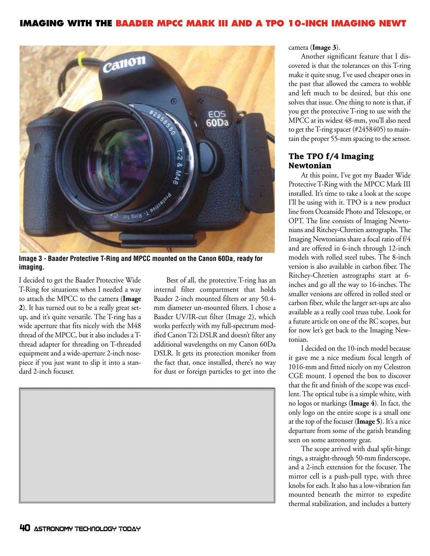

**Image 3 - Baader Protective T-Ring and MPCC mounted on the Canon 60Da, ready for imaging.**

I decided to get the Baader Protective Wide T-Ring for situations when I needed a way to attach the MPCC to the camera (**Image 2**). It has turned out to be a really great setup, and it's quite versatile. The T-ring has a wide aperture that fits nicely with the M48 thread of the MPCC, but it also includes a Tthread adapter for threading on T-threaded equipment and a wide-aperture 2-inch nosepiece if you just want to slip it into a standard 2-inch focuser.

Best of all, the protective T-ring has an internal filter compartment that holds Baader 2-inch mounted filters or any 50.4 mm diameter un-mounted filters. I chose a Baader UV/IR-cut filter (Image 2), which works perfectly with my full-spectrum modified Canon T2i DSLR and doesn't filter any additional wavelengths on my Canon 60Da DSLR. It gets its protection moniker from the fact that, once installed, there's no way for dust or foreign particles to get into the



camera (**Image 3**).

Another significant feature that I discovered is that the tolerances on this T-ring make it quite snug. I've used cheaper ones in the past that allowed the camera to wobble and left much to be desired, but this one solves that issue. One thing to note is that, if you get the protective T-ring to use with the MPCC at its widest 48-mm, you'll also need to get the T-ring spacer (#2458405) to maintain the proper 55-mm spacing to the sensor.

#### **The TPO f/4 Imaging Newtonian**

At this point, I've got my Baader Wide Protective T-Ring with the MPCC Mark III installed. It's time to take a look at the scope I'll be using with it. TPO is a new product line from Oceanside Photo and Telescope, or OPT. The line consists of Imaging Newtonians and Ritchey-Chretien astrographs. The Imaging Newtonians share a focal ratio of f/4 and are offered in 6-inch through 12-inch models with rolled steel tubes. The 8-inch version is also available in carbon fiber. The Ritchey-Chretien astrographs start at 6 inches and go all the way to 16-inches. The smaller versions are offered in rolled steel or carbon fiber, while the larger set-ups are also available as a really cool truss tube. Look for a future article on one of the RC scopes, but for now let's get back to the Imaging Newtonian.

I decided on the 10-inch model because it gave me a nice medium focal length of 1016-mm and fitted nicely on my Celestron CGE mount. I opened the box to discover that the fit and finish of the scope was excellent. The optical tube is a simple white, with no logos or markings (**Image 4**). In fact, the only logo on the entire scope is a small one at the top of the focuser (**Image 5**). It's a nice departure from some of the garish branding seen on some astronomy gear.

The scope arrived with dual split-hinge rings, a straight-through 50-mm finderscope, and a 2-inch extension for the focuser. The mirror cell is a push-pull type, with three knobs for each. It also has a low-vibration fan mounted beneath the mirror to expedite thermal stabilization, and includes a battery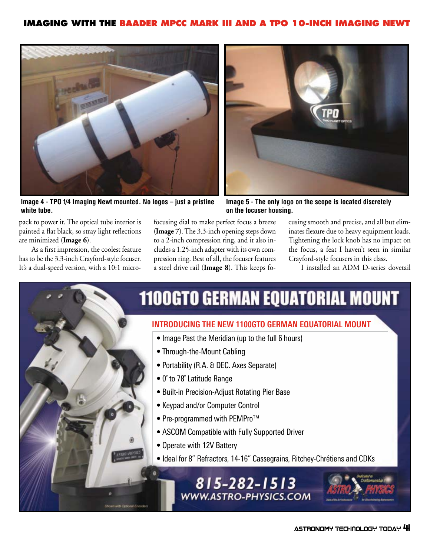

**Image 4 - TPO f/4 Imaging Newt mounted. No logos – just a pristine white tube.**



**Image 5 - The only logo on the scope is located discretely on the focuser housing.**

pack to power it. The optical tube interior is painted a flat black, so stray light reflections are minimized (**Image 6**).

As a first impression, the coolest feature has to be the 3.3-inch Crayford-style focuser. It's a dual-speed version, with a 10:1 microfocusing dial to make perfect focus a breeze (**Image 7**). The 3.3-inch opening steps down to a 2-inch compression ring, and it also includes a 1.25-inch adapter with its own compression ring. Best of all, the focuser features a steel drive rail (**Image 8**). This keeps focusing smooth and precise, and all but eliminates flexure due to heavy equipment loads. Tightening the lock knob has no impact on the focus, a feat I haven't seen in similar Crayford-style focusers in this class.

I installed an ADM D-series dovetail

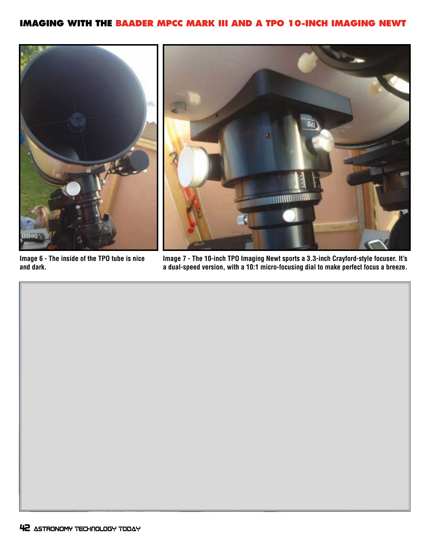

**Image 6 - The inside of the TPO tube is nice and dark.**

**Image 7 - The 10-inch TPO Imaging Newt sports a 3.3-inch Crayford-style focuser. It's a dual-speed version, with a 10:1 micro-focusing dial to make perfect focus a breeze.**

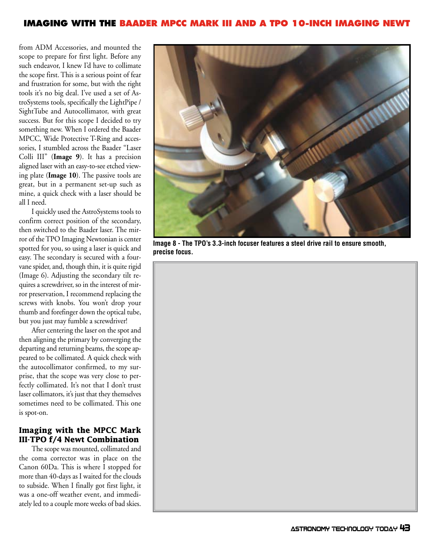from ADM Accessories, and mounted the scope to prepare for first light. Before any such endeavor, I knew I'd have to collimate the scope first. This is a serious point of fear and frustration for some, but with the right tools it's no big deal. I've used a set of AstroSystems tools, specifically the LightPipe / SightTube and Autocollimator, with great success. But for this scope I decided to try something new. When I ordered the Baader MPCC, Wide Protective T-Ring and accessories, I stumbled across the Baader "Laser Colli III" (**Image 9**). It has a precision aligned laser with an easy-to-see etched viewing plate (**Image 10**). The passive tools are great, but in a permanent set-up such as mine, a quick check with a laser should be all I need.

I quickly used the AstroSystems tools to confirm correct position of the secondary, then switched to the Baader laser. The mirror of the TPO Imaging Newtonian is center spotted for you, so using a laser is quick and easy. The secondary is secured with a fourvane spider, and, though thin, it is quite rigid (Image 6). Adjusting the secondary tilt requires a screwdriver, so in the interest of mirror preservation, I recommend replacing the screws with knobs. You won't drop your thumb and forefinger down the optical tube, but you just may fumble a screwdriver!

After centering the laser on the spot and then aligning the primary by converging the departing and returning beams, the scope appeared to be collimated. A quick check with the autocollimator confirmed, to my surprise, that the scope was very close to perfectly collimated. It's not that I don't trust laser collimators, it's just that they themselves sometimes need to be collimated. This one is spot-on.

#### **Imaging with the MPCC Mark III-TPO f/4 Newt Combination**

The scope was mounted, collimated and the coma corrector was in place on the Canon 60Da. This is where I stopped for more than 40-days as I waited for the clouds to subside. When I finally got first light, it was a one-off weather event, and immediately led to a couple more weeks of bad skies.



**Image 8 - The TPO's 3.3-inch focuser features a steel drive rail to ensure smooth, precise focus.**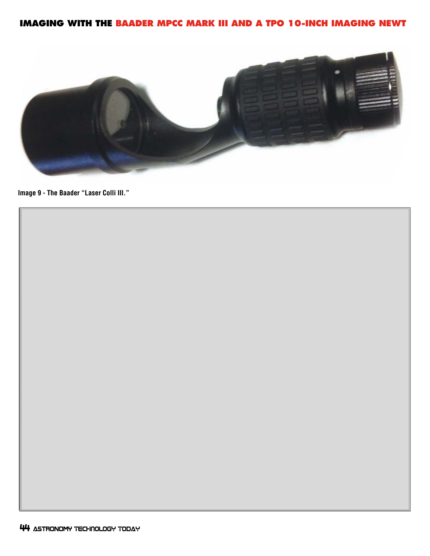

**Image 9 - The Baader "Laser Colli III."**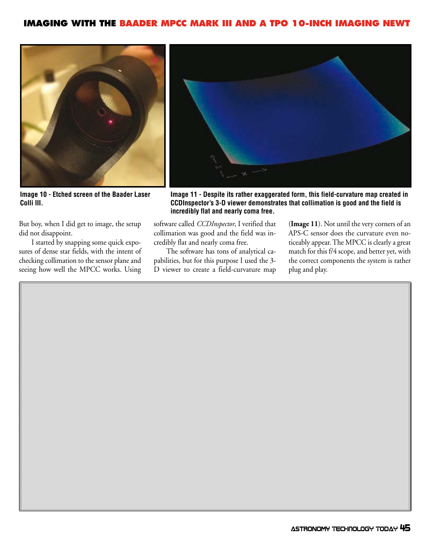

**Image 10 - Etched screen of the Baader Laser Colli III.**

But boy, when I did get to image, the setup did not disappoint.

I started by snapping some quick exposures of dense star fields, with the intent of checking collimation to the sensor plane and seeing how well the MPCC works. Using



**Image 11 - Despite its rather exaggerated form, this field-curvature map created in CCDInspector's 3-D viewer demonstrates that collimation is good and the field is incredibly flat and nearly coma free.**

software called *CCDInspector*, I verified that collimation was good and the field was incredibly flat and nearly coma free.

The software has tons of analytical capabilities, but for this purpose I used the 3- D viewer to create a field-curvature map (**Image 11**). Not until the very corners of an APS-C sensor does the curvature even noticeably appear. The MPCC is clearly a great match for this f/4 scope, and better yet, with the correct components the system is rather plug and play.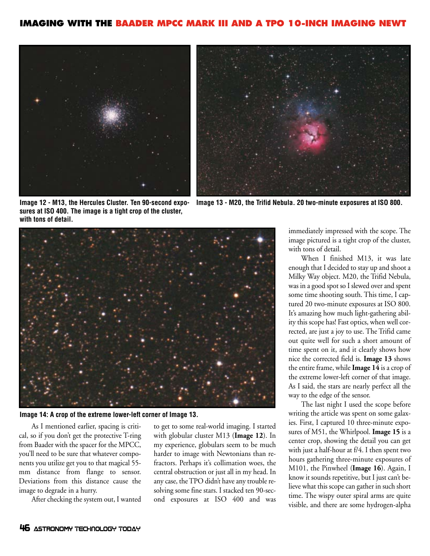



**Image 12 - M13, the Hercules Cluster. Ten 90-second exposures at ISO 400. The image is a tight crop of the cluster, with tons of detail.**

**Image 13 - M20, the Trifid Nebula. 20 two-minute exposures at ISO 800.**



**Image 14: A crop of the extreme lower-left corner of Image 13.**

As I mentioned earlier, spacing is critical, so if you don't get the protective T-ring from Baader with the spacer for the MPCC, you'll need to be sure that whatever components you utilize get you to that magical 55 mm distance from flange to sensor. Deviations from this distance cause the image to degrade in a hurry.

After checking the system out, I wanted

to get to some real-world imaging. I started with globular cluster M13 (**Image 12**). In my experience, globulars seem to be much harder to image with Newtonians than refractors. Perhaps it's collimation woes, the central obstruction or just all in my head. In any case, the TPO didn't have any trouble resolving some fine stars. I stacked ten 90-second exposures at ISO 400 and was

immediately impressed with the scope. The image pictured is a tight crop of the cluster, with tons of detail.

When I finished M13, it was late enough that I decided to stay up and shoot a Milky Way object. M20, the Trifid Nebula, was in a good spot so I slewed over and spent some time shooting south. This time, I captured 20 two-minute exposures at ISO 800. It's amazing how much light-gathering ability this scope has! Fast optics, when well corrected, are just a joy to use. The Trifid came out quite well for such a short amount of time spent on it, and it clearly shows how nice the corrected field is. **Image 13** shows the entire frame, while **Image 14** is a crop of the extreme lower-left corner of that image. As I said, the stars are nearly perfect all the way to the edge of the sensor.

The last night I used the scope before writing the article was spent on some galaxies. First, I captured 10 three-minute exposures of M51, the Whirlpool. **Image 15** is a center crop, showing the detail you can get with just a half-hour at f/4. I then spent two hours gathering three-minute exposures of M101, the Pinwheel (**Image 16**). Again, I know it sounds repetitive, but I just can't believe what this scope can gather in such short time. The wispy outer spiral arms are quite visible, and there are some hydrogen-alpha